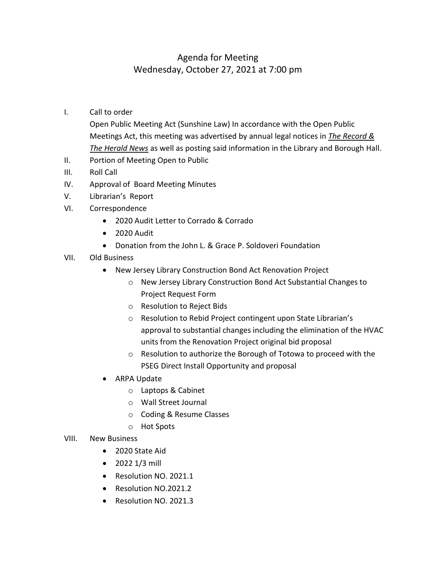## Agenda for Meeting Wednesday, October 27, 2021 at 7:00 pm

I. Call to order

Open Public Meeting Act (Sunshine Law) In accordance with the Open Public Meetings Act, this meeting was advertised by annual legal notices in *The Record & The Herald News* as well as posting said information in the Library and Borough Hall.

- II. Portion of Meeting Open to Public
- III. Roll Call
- IV. Approval of Board Meeting Minutes
- V. Librarian's Report
- VI. Correspondence
	- 2020 Audit Letter to Corrado & Corrado
	- 2020 Audit
	- Donation from the John L. & Grace P. Soldoveri Foundation
- VII. Old Business
	- New Jersey Library Construction Bond Act Renovation Project
		- o New Jersey Library Construction Bond Act Substantial Changes to Project Request Form
		- o Resolution to Reject Bids
		- o Resolution to Rebid Project contingent upon State Librarian's approval to substantial changes including the elimination of the HVAC units from the Renovation Project original bid proposal
		- o Resolution to authorize the Borough of Totowa to proceed with the PSEG Direct Install Opportunity and proposal
	- ARPA Update
		- o Laptops & Cabinet
		- o Wall Street Journal
		- o Coding & Resume Classes
		- o Hot Spots
- VIII. New Business
	- 2020 State Aid
	- 2022 1/3 mill
	- Resolution NO. 2021.1
	- Resolution NO.2021.2
	- Resolution NO. 2021.3